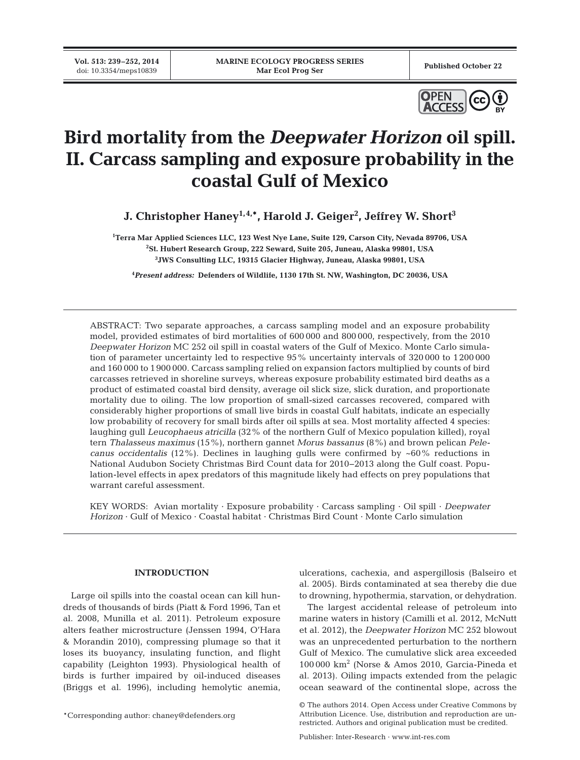**Vol. 513: 239–252, 2014**



# **Bird mortality from the** *Deepwater Horizon* **oil spill. II. Carcass sampling and exposure probability in the coastal Gulf of Mexico**

**J. Christopher Haney1,4,\*, Harold J. Geiger2 , Jeffrey W. Short3**

**1 Terra Mar Applied Sciences LLC, 123 West Nye Lane, Suite 129, Carson City, Nevada 89706, USA 2 St. Hubert Research Group, 222 Seward, Suite 205, Juneau, Alaska 99801, USA 3 JWS Consulting LLC, 19315 Glacier Highway, Juneau, Alaska 99801, USA**

**4** *Present address:* **Defenders of Wildlife, 1130 17th St. NW, Washington, DC 20036, USA**

ABSTRACT: Two separate approaches, a carcass sampling model and an exposure probability model, provided estimates of bird mortalities of 600 000 and 800 000, respectively, from the 2010 *Deepwater Horizon* MC 252 oil spill in coastal waters of the Gulf of Mexico. Monte Carlo simulation of parameter uncertainty led to respective 95% uncertainty intervals of 320 000 to 1200 000 and 160 000 to 1900 000. Carcass sampling relied on expansion factors multiplied by counts of bird carcasses retrieved in shoreline surveys, whereas exposure probability estimated bird deaths as a product of estimated coastal bird density, average oil slick size, slick duration, and proportionate mortality due to oiling. The low proportion of small-sized carcasses recovered, compared with considerably higher proportions of small live birds in coastal Gulf habitats, indicate an especially low probability of recovery for small birds after oil spills at sea. Most mortality affected 4 species: laughing gull *Leucophaeus atricilla* (32% of the northern Gulf of Mexico population killed), royal tern *Thalasseus maximus* (15%), northern gannet *Morus bassanus* (8%) and brown pelican *Pelecanus occidentalis* (12%). Declines in laughing gulls were confirmed by ~60% reductions in National Audubon Society Christmas Bird Count data for 2010−2013 along the Gulf coast. Population-level effects in apex predators of this magnitude likely had effects on prey populations that warrant careful assessment.

KEY WORDS: Avian mortality · Exposure probability · Carcass sampling · Oil spill · *Deepwater Horizon* · Gulf of Mexico · Coastal habitat · Christmas Bird Count · Monte Carlo simulation

## **INTRODUCTION**

Large oil spills into the coastal ocean can kill hundreds of thousands of birds (Piatt & Ford 1996, Tan et al. 2008, Munilla et al. 2011). Petroleum exposure alters feather microstructure (Jenssen 1994, O'Hara & Morandin 2010), compressing plumage so that it loses its buoyancy, insulating function, and flight capability (Leighton 1993). Physiological health of birds is further impaired by oil-induced diseases (Briggs et al. 1996), including hemolytic anemia,

ulcerations, cachexia, and aspergillosis (Balseiro et al. 2005). Birds contaminated at sea thereby die due to drowning, hypothermia, starvation, or dehydration.

The largest accidental release of petroleum into marine waters in history (Camilli et al. 2012, McNutt et al. 2012), the *Deepwater Horizon* MC 252 blowout was an unprecedented perturbation to the northern Gulf of Mexico. The cumulative slick area exceeded 100 000 km2 (Norse & Amos 2010, Garcia-Pineda et al. 2013). Oiling impacts extended from the pelagic ocean seaward of the continental slope, across the

<sup>©</sup> The authors 2014. Open Access under Creative Commons by Attribution Licence. Use, distribution and reproduction are unrestricted. Authors and original publication must be credited.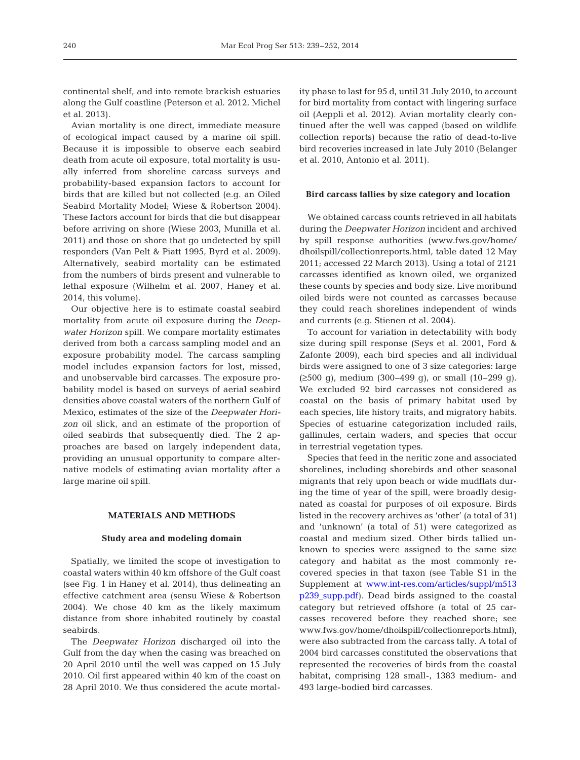continental shelf, and into remote brackish estuaries along the Gulf coastline (Peterson et al. 2012, Michel et al. 2013).

Avian mortality is one direct, immediate measure of ecological impact caused by a marine oil spill. Because it is impossible to observe each seabird death from acute oil exposure, total mortality is usually inferred from shoreline carcass surveys and probability-based expansion factors to account for birds that are killed but not collected (e.g. an Oiled Seabird Mortality Model; Wiese & Robertson 2004). These factors account for birds that die but disappear before arriving on shore (Wiese 2003, Munilla et al. 2011) and those on shore that go undetected by spill responders (Van Pelt & Piatt 1995, Byrd et al. 2009). Alternatively, seabird mortality can be estimated from the numbers of birds present and vulnerable to lethal exposure (Wilhelm et al. 2007, Haney et al. 2014, this volume).

Our objective here is to estimate coastal seabird mortality from acute oil exposure during the *Deepwater Horizon* spill. We compare mortality estimates derived from both a carcass sampling model and an exposure probability model. The carcass sampling model includes expansion factors for lost, missed, and unobservable bird carcasses. The exposure probability model is based on surveys of aerial seabird densities above coastal waters of the northern Gulf of Mexico, estimates of the size of the *Deepwater Horizon* oil slick, and an estimate of the proportion of oiled seabirds that subsequently died. The 2 approaches are based on largely independent data, providing an unusual opportunity to compare alternative models of estimating avian mortality after a large marine oil spill.

# **MATERIALS AND METHODS**

# **Study area and modeling domain**

Spatially, we limited the scope of investigation to coastal waters within 40 km offshore of the Gulf coast (see Fig. 1 in Haney et al. 2014), thus delineating an effective catchment area (sensu Wiese & Robertson 2004). We chose 40 km as the likely maximum distance from shore inhabited routinely by coastal seabirds.

The *Deepwater Horizon* discharged oil into the Gulf from the day when the casing was breached on 20 April 2010 until the well was capped on 15 July 2010. Oil first appeared within 40 km of the coast on 28 April 2010. We thus considered the acute mortality phase to last for 95 d, until 31 July 2010, to account for bird mortality from contact with lingering surface oil (Aeppli et al. 2012). Avian mortality clearly continued after the well was capped (based on wildlife collection reports) because the ratio of dead-to-live bird recoveries increased in late July 2010 (Belanger et al. 2010, Antonio et al. 2011).

#### **Bird carcass tallies by size category and location**

We obtained carcass counts retrieved in all habitats during the *Deepwater Horizon* incident and archived by spill response authorities (www.fws.gov/home/ dhoilspill/ collectionreports.html, table dated 12 May 2011; accessed 22 March 2013). Using a total of 2121 carcasses identified as known oiled, we organized these counts by species and body size. Live moribund oiled birds were not counted as carcasses because they could reach shorelines independent of winds and currents (e.g. Stienen et al. 2004).

To account for variation in detectability with body size during spill response (Seys et al. 2001, Ford & Zafonte 2009), each bird species and all individual birds were assigned to one of 3 size categories: large (≥500 g), medium (300−499 g), or small (10−299 g). We excluded 92 bird carcasses not considered as coastal on the basis of primary habitat used by each species, life history traits, and migratory habits. Species of estuarine categorization included rails, gallinules, certain waders, and species that occur in terrestrial vegetation types.

Species that feed in the neritic zone and associated shorelines, including shorebirds and other seasonal migrants that rely upon beach or wide mudflats during the time of year of the spill, were broadly designated as coastal for purposes of oil exposure. Birds listed in the recovery archives as 'other' (a total of 31) and 'unknown' (a total of 51) were categorized as coastal and medium sized. Other birds tallied unknown to species were assigned to the same size category and habitat as the most commonly re covered species in that taxon (see Table S1 in the Supplement at www.int-res.com/articles/suppl/m513 [p239\\_ supp. pdf\). D](http://www.int-res.com/articles/suppl/m513p239_supp.pdf)ead birds assigned to the coastal category but retrieved offshore (a total of 25 carcasses recovered before they reached shore; see www.fws.gov/home/ dhoilspill/ collectionreports. html), were also subtracted from the carcass tally. A total of 2004 bird carcasses constituted the observations that represented the recoveries of birds from the coastal habitat, comprising 128 small-, 1383 medium- and 493 large-bodied bird carcasses.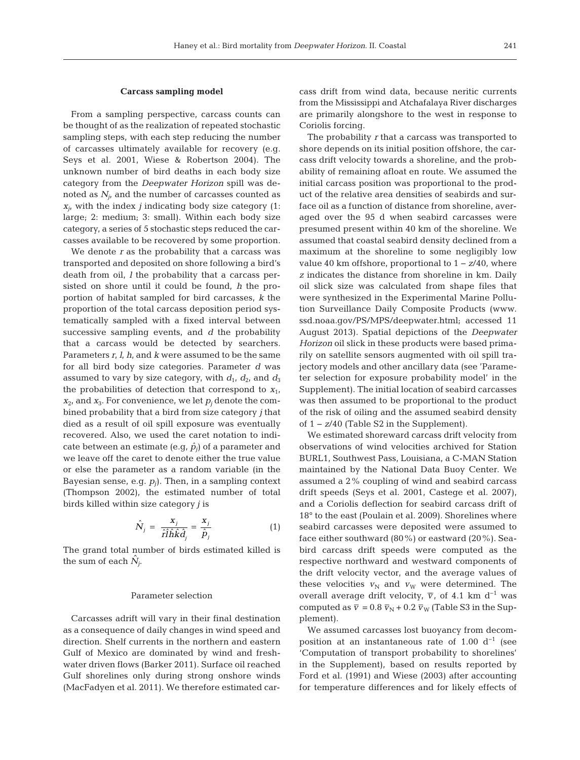## **Carcass sampling model**

From a sampling perspective, carcass counts can be thought of as the realization of repeated stochastic sampling steps, with each step reducing the number of carcasses ultimately available for recovery (e.g. Seys et al. 2001, Wiese & Robertson 2004). The unknown number of bird deaths in each body size category from the *Deepwater Horizon* spill was de noted as  $N_i$  and the number of carcasses counted as  $x_{i}$ , with the index *j* indicating body size category (1: large; 2: medium; 3: small). Within each body size category, a series of 5 stochastic steps reduced the car casses available to be recovered by some proportion.

We denote *r* as the probability that a carcass was transported and deposited on shore following a bird's death from oil, *l* the probability that a carcass persisted on shore until it could be found, *h* the proportion of habitat sampled for bird carcasses, *k* the proportion of the total carcass deposition period systematically sampled with a fixed interval between successive sampling events, and *d* the probability that a carcass would be detected by searchers. Parameters *r*, *l*, *h*, and *k* were assumed to be the same for all bird body size categories. Parameter *d* was assumed to vary by size category, with  $d_1$ ,  $d_2$ , and  $d_3$ the probabilities of detection that correspond to  $x_1$ ,  $x_2$ , and  $x_3$ . For convenience, we let  $p_j$  denote the combined probability that a bird from size category *j* that died as a result of oil spill exposure was eventually recovered. Also, we used the caret notation to indicate between an estimate (e.g,  $\hat{p}_i$ ) of a parameter and we leave off the caret to denote either the true value or else the parameter as a random variable (in the Bayesian sense, e.g. *pj*). Then, in a sampling context (Thompson 2002), the estimated number of total birds killed within size category *j* is

$$
\hat{N}_j = \frac{x_j}{\hat{r}\hat{l}\hat{h}\hat{k}\hat{d}_j} = \frac{x_j}{\hat{p}_j} \tag{1}
$$

The grand total number of birds estimated killed is the sum of each  $N_i$ .

# Parameter selection

Carcasses adrift will vary in their final destination as a consequence of daily changes in wind speed and direction. Shelf currents in the northern and eastern Gulf of Mexico are dominated by wind and freshwater driven flows (Barker 2011). Surface oil reached Gulf shorelines only during strong onshore winds (MacFadyen et al. 2011). We therefore estimated carcass drift from wind data, because neritic currents from the Mississippi and Atchafalaya River discharges are primarily alongshore to the west in response to Coriolis forcing.

The probability *r* that a carcass was transported to shore depends on its initial position offshore, the carcass drift velocity towards a shoreline, and the probability of remaining afloat en route. We assumed the initial carcass position was proportional to the product of the relative area densities of seabirds and surface oil as a function of distance from shoreline, averaged over the 95 d when seabird carcasses were presumed present within 40 km of the shoreline. We assumed that coastal seabird density declined from a maximum at the shoreline to some negligibly low value 40 km offshore, proportional to 1 − *z*/40, where *z* indicates the distance from shoreline in km. Daily oil slick size was calculated from shape files that were synthesized in the Experimental Marine Pollution Surveillance Daily Composite Products (www. ssd. noaa.gov/PS/MPS/deepwater.html; accessed 11 Au gust 2013). Spatial depictions of the *Deepwater Horizon* oil slick in these products were based primarily on satellite sensors augmented with oil spill trajectory models and other ancillary data (see 'Parameter selection for exposure probability model' in the Supplement). The initial location of seabird carcasses was then assumed to be proportional to the product of the risk of oiling and the assumed seabird density of 1 − *z*/40 (Table S2 in the Supplement).

We estimated shoreward carcass drift velocity from observations of wind velocities archived for Station BURL1, Southwest Pass, Louisiana, a C-MAN Station maintained by the National Data Buoy Center. We assumed a 2% coupling of wind and seabird carcass drift speeds (Seys et al. 2001, Castege et al. 2007), and a Coriolis deflection for seabird carcass drift of 18° to the east (Poulain et al. 2009). Shorelines where seabird carcasses were deposited were assumed to face either southward (80%) or eastward (20%). Seabird carcass drift speeds were computed as the respective northward and westward components of the drift velocity vector, and the average values of these velocities  $v_N$  and  $v_W$  were determined. The overall average drift velocity,  $\overline{v}$ , of 4.1 km d<sup>-1</sup> was computed as  $\bar{v} = 0.8 \bar{v}_{N} + 0.2 \bar{v}_{W}$  (Table S3 in the Supplement).

We assumed carcasses lost buoyancy from decomposition at an instantaneous rate of 1.00  $d^{-1}$  (see 'Computation of transport probability to shorelines' in the Supplement), based on results reported by Ford et al. (1991) and Wiese (2003) after accounting for temperature differences and for likely effects of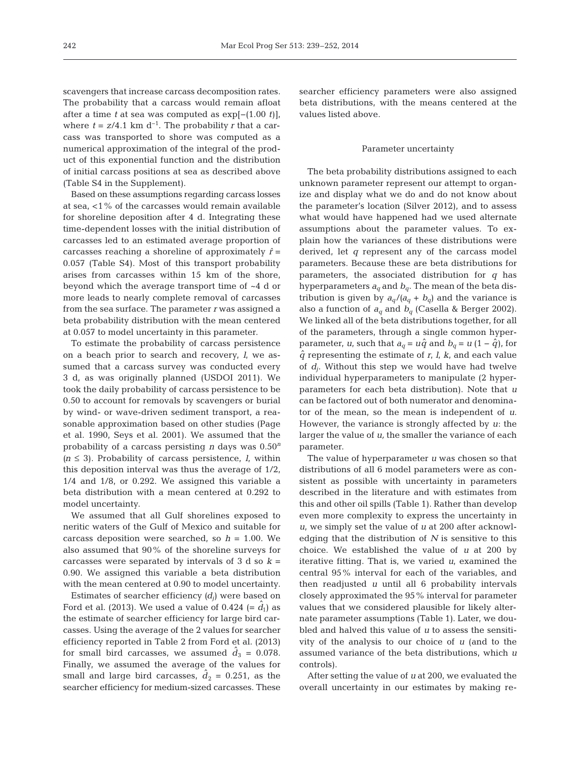scavengers that increase carcass decomposition rates. The probability that a carcass would remain afloat after a time *t* at sea was computed as exp[−(1.00 *t*)], where  $t = z/4.1$  km d<sup>-1</sup>. The probability *r* that a carcass was transported to shore was computed as a numerical approximation of the integral of the product of this exponential function and the distribution of initial carcass positions at sea as described above (Table S4 in the Supplement).

Based on these assumptions regarding carcass losses at sea, <1% of the carcasses would remain available for shoreline deposition after 4 d. Integrating these time-dependent losses with the initial distribution of carcasses led to an estimated average proportion of carcasses reaching a shoreline of approximately  $\hat{r}$  = 0.057 (Table S4). Most of this transport probability arises from carcasses within 15 km of the shore, beyond which the average transport time of ~4 d or more leads to nearly complete removal of carcasses from the sea surface. The parameter *r* was assigned a beta probability distribution with the mean centered at 0.057 to model uncertainty in this parameter.

To estimate the probability of carcass persistence on a beach prior to search and recovery, *l*, we assumed that a carcass survey was conducted every 3 d, as was originally planned (USDOI 2011). We took the daily probability of carcass persistence to be 0.50 to account for removals by scavengers or burial by wind- or wave-driven sediment transport, a reasonable approximation based on other studies (Page et al. 1990, Seys et al. 2001). We assumed that the probability of a carcass persisting *n* days was 0.50*<sup>n</sup>*  $(n \leq 3)$ . Probability of carcass persistence, *l*, within this deposition interval was thus the average of 1/2, 1/4 and 1/8, or 0.292. We assigned this variable a beta distribution with a mean centered at 0.292 to model uncertainty.

We assumed that all Gulf shorelines exposed to neritic waters of the Gulf of Mexico and suitable for carcass deposition were searched, so  $h = 1.00$ . We also assumed that 90% of the shoreline surveys for carcasses were separated by intervals of 3 d so *k* = 0.90. We assigned this variable a beta distribution with the mean centered at 0.90 to model uncertainty.

Estimates of searcher efficiency *(dj*) were based on Ford et al. (2013). We used a value of 0.424 (=  $\hat{d}_1$ ) as the estimate of searcher efficiency for large bird carcasses. Using the average of the 2 values for searcher efficiency reported in Table 2 from Ford et al. (2013) for small bird carcasses, we assumed  $d_3 = 0.078$ . Finally, we assumed the average of the values for small and large bird carcasses,  $d_2 = 0.251$ , as the searcher efficiency for medium-sized carcasses. These searcher efficiency parameters were also assigned beta distributions, with the means centered at the values listed above.

#### Parameter uncertainty

The beta probability distributions assigned to each unknown parameter represent our attempt to organize and display what we do and do not know about the parameter's location (Silver 2012), and to assess what would have happened had we used alternate assumptions about the parameter values. To explain how the variances of these distributions were derived, let *q* represent any of the carcass model parameters. Because these are beta distributions for parameters, the associated distribution for *q* has hyperparameters  $a_q$  and  $b_q$ . The mean of the beta distribution is given by  $a_q/(a_q + b_q)$  and the variance is also a function of  $a_q$  and  $b_q$  (Casella & Berger 2002). We linked all of the beta distributions together, for all of the parameters, through a single common hyperparameter, *u*, such that  $a_q = u\hat{q}$  and  $b_q = u(1 - \hat{q})$ , for  $\hat{q}$  representing the estimate of  $r$ ,  $l$ ,  $k$ , and each value of  $d_i$ . Without this step we would have had twelve individual hyperparameters to manipulate (2 hyperparameters for each beta distribution). Note that *u* can be factored out of both numerator and denominator of the mean, so the mean is independent of *u*. However, the variance is strongly affected by *u*: the larger the value of *u,* the smaller the variance of each parameter.

The value of hyperparameter *u* was chosen so that distributions of all 6 model parameters were as consistent as possible with uncertainty in parameters described in the literature and with estimates from this and other oil spills (Table 1). Rather than develop even more complexity to express the uncertainty in *u*, we simply set the value of *u* at 200 after acknowledging that the distribution of *N* is sensitive to this choice. We established the value of *u* at 200 by iterative fitting. That is, we varied *u*, examined the central 95% interval for each of the variables, and then readjusted *u* until all 6 probability intervals closely approximated the 95% interval for parameter values that we considered plausible for likely alternate parameter assumptions (Table 1). Later, we doubled and halved this value of *u* to assess the sensitivity of the analysis to our choice of *u* (and to the assumed variance of the beta distributions, which *u* controls).

After setting the value of *u* at 200, we evaluated the overall uncertainty in our estimates by making re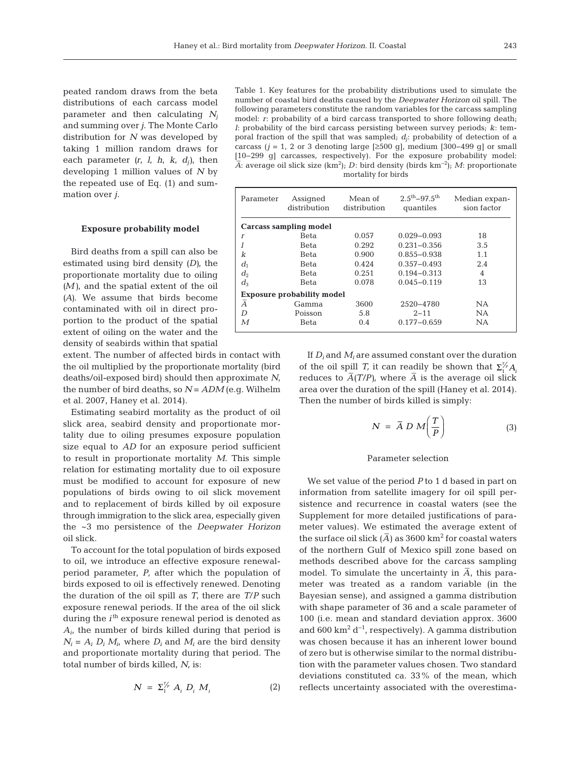peated random draws from the beta distributions of each carcass model parameter and then calculating  $N_i$ and summing over *j*. The Monte Carlo distribution for *N* was developed by taking 1 million random draws for each parameter  $(r, l, h, k, d_i)$ , then devel oping 1 million values of *N* by the repeated use of Eq. (1) and summation over *j*.

#### **Exposure probability model**

Bird deaths from a spill can also be estimated using bird density *(D)*, the proportionate mortality due to oiling *(M)*, and the spatial extent of the oil *(A)*. We assume that birds become contaminated with oil in direct proportion to the product of the spatial extent of oiling on the water and the density of seabirds within that spatial

extent. The number of affected birds in contact with the oil multiplied by the proportionate mortality (bird deaths/oil-exposed bird) should then approximate *N*, the number of bird deaths, so  $N = ADM$  (e.g. Wilhelm et al. 2007, Haney et al. 2014).

Estimating seabird mortality as the product of oil slick area, seabird density and proportionate mortality due to oiling presumes exposure population size equal to *AD* for an exposure period sufficient to result in proportionate mortality *M*. This simple relation for estimating mortality due to oil exposure must be modified to account for exposure of new populations of birds owing to oil slick movement and to replacement of birds killed by oil exposure through immigration to the slick area, especially given the ~3 mo persistence of the *Deepwater Horizon* oil slick.

To account for the total population of birds exposed to oil, we introduce an effective exposure renewalperiod parameter, *P*, after which the population of birds exposed to oil is effectively renewed. Denoting the duration of the oil spill as *T*, there are *T*/*P* such exposure renewal periods. If the area of the oil slick during the *i*<sup>th</sup> exposure renewal period is denoted as *Ai*, the number of birds killed during that period is  $N_i = A_i D_i M_i$ , where  $D_i$  and  $M_i$  are the bird density and proportionate mortality during that period. The total number of birds killed, *N*, is:

$$
N = \Sigma_1^{\mathcal{T}_p} A_i D_i M_i \tag{2}
$$

Table 1. Key features for the probability distributions used to simulate the number of coastal bird deaths caused by the *Deepwater Horizon* oil spill. The following parameters constitute the random variables for the carcass sampling model: *r*: probability of a bird carcass transported to shore following death; *l*: probability of the bird carcass persisting between survey periods; *k*: temporal fraction of the spill that was sampled; *dj*: probability of detection of a carcass ( $j = 1$ , 2 or 3 denoting large [≥500 g], medium [300–499 g] or small [10−299 g] carcasses, respectively). For the exposure probability model: *A*- : average oil slick size (km<sup>2</sup> ); *D*: bird density (birds km−2); *M*: proportionate mortality for birds

| Parameter                         | Assigned<br>distribution | Mean of<br>distribution | $2.5^{\text{th}} - 97.5^{\text{th}}$<br>quantiles | Median expan-<br>sion factor |  |  |  |  |  |  |  |
|-----------------------------------|--------------------------|-------------------------|---------------------------------------------------|------------------------------|--|--|--|--|--|--|--|
| Carcass sampling model            |                          |                         |                                                   |                              |  |  |  |  |  |  |  |
| $\boldsymbol{r}$                  | Beta                     | 0.057                   | $0.029 - 0.093$                                   | 18                           |  |  |  |  |  |  |  |
|                                   | Beta                     | 0.292                   | $0.231 - 0.356$                                   | 3.5                          |  |  |  |  |  |  |  |
| k                                 | Beta                     | 0.900                   | $0.855 - 0.938$                                   | 1.1                          |  |  |  |  |  |  |  |
| $d_1$                             | Beta                     | 0.424                   | $0.357 - 0.493$                                   | 2.4                          |  |  |  |  |  |  |  |
| $d_2$                             | Beta                     | 0.251                   | $0.194 - 0.313$                                   | $\overline{4}$               |  |  |  |  |  |  |  |
| $d_3$                             | <b>Beta</b>              | 0.078                   | $0.045 - 0.119$                                   | 13                           |  |  |  |  |  |  |  |
| <b>Exposure probability model</b> |                          |                         |                                                   |                              |  |  |  |  |  |  |  |
| Ā                                 | Gamma                    | 3600                    | 2520-4780                                         | NA.                          |  |  |  |  |  |  |  |
| D                                 | Poisson                  | 5.8                     | $2 - 11$                                          | NA.                          |  |  |  |  |  |  |  |
| М                                 | Beta                     | 0.4                     | $0.177 - 0.659$                                   | <b>NA</b>                    |  |  |  |  |  |  |  |

If  $D_i$  and  $M_i$  are assumed constant over the duration of the oil spill *T*, it can readily be shown that  $\Sigma_1^{\mathcal{V}_P} A$ reduces to  $\overline{A}(T/P)$ , where  $\overline{A}$  is the average oil slick area over the duration of the spill (Haney et al. 2014). Then the number of birds killed is simply:

$$
N = \bar{A} D M \left(\frac{T}{P}\right) \tag{3}
$$

## Parameter selection

We set value of the period *P* to 1 d based in part on information from satellite imagery for oil spill per sistence and recurrence in coastal waters (see the Supplement for more detailed justifications of para meter values). We estimated the average extent of the surface oil slick  $(\overline{A})$  as 3600 km<sup>2</sup> for coastal waters of the northern Gulf of Mexico spill zone based on methods described above for the carcass sampling model. To simulate the uncertainty in  $\overline{A}$ , this parameter was treated as a random variable (in the Bayesian sense), and assigned a gamma distribution with shape parameter of 36 and a scale parameter of 100 (i.e. mean and standard deviation approx. 3600 and 600 km<sup>2</sup> d<sup>-1</sup>, respectively). A gamma distribution was chosen because it has an inherent lower bound of zero but is otherwise similar to the normal distribution with the parameter values chosen. Two standard deviations constituted ca. 33% of the mean, which  $n$  reflects uncertainty associated with the overestima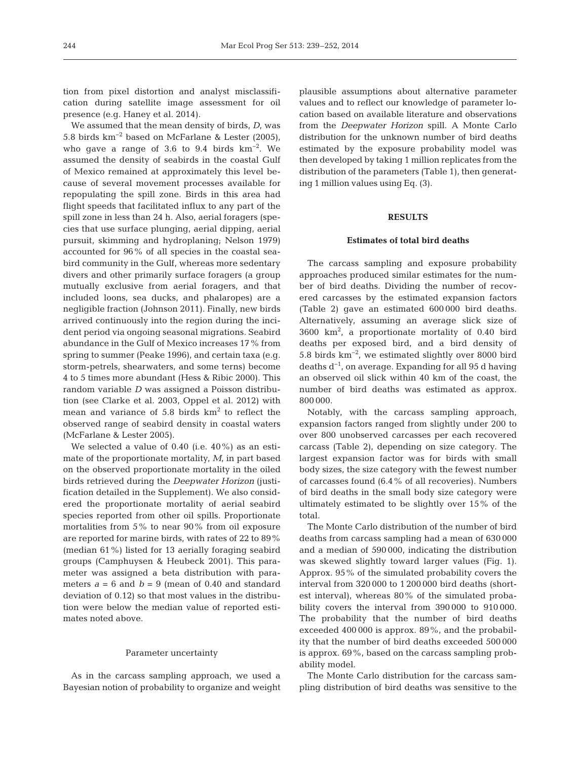tion from pixel distortion and analyst misclassification during satellite image as sessment for oil presence (e.g. Haney et al. 2014).

We assumed that the mean density of birds, *D*, was 5.8 birds km−2 based on McFarlane & Lester (2005), who gave a range of 3.6 to 9.4 birds km−2. We assumed the density of seabirds in the coastal Gulf of Mexico remained at approximately this level be cause of several movement processes available for repopulating the spill zone. Birds in this area had flight speeds that facilitated influx to any part of the spill zone in less than 24 h. Also, aerial foragers (species that use surface plunging, aerial dipping, aerial pursuit, skimming and hydroplaning; Nelson 1979) accounted for 96% of all species in the coastal seabird community in the Gulf, whereas more sedentary divers and other primarily surface foragers (a group mutually exclusive from aerial foragers, and that included loons, sea ducks, and phalaropes) are a negligible fraction (Johnson 2011). Finally, new birds arrived continuously into the region during the incident period via ongoing seasonal migrations. Seabird abundance in the Gulf of Mexico increases 17% from spring to summer (Peake 1996), and certain taxa (e.g. storm-petrels, shearwaters, and some terns) become 4 to 5 times more abundant (Hess & Ribic 2000). This random variable *D* was assigned a Poisson distribution (see Clarke et al. 2003, Oppel et al. 2012) with mean and variance of  $5.8$  birds  $km<sup>2</sup>$  to reflect the observed range of seabird density in coastal waters (McFarlane & Lester 2005).

We selected a value of 0.40 (i.e. 40%) as an estimate of the proportionate mortality, *M*, in part based on the observed proportionate mortality in the oiled birds retrieved during the *Deepwater Horizon* (justification detailed in the Supplement). We also considered the proportionate mortality of aerial seabird species reported from other oil spills. Proportionate mortalities from 5% to near 90% from oil exposure are reported for marine birds, with rates of 22 to 89% (median 61%) listed for 13 aerially foraging seabird groups (Camphuysen & Heubeck 2001). This para meter was assigned a beta distribution with parameters  $a = 6$  and  $b = 9$  (mean of 0.40 and standard deviation of 0.12) so that most values in the distribution were below the median value of reported estimates noted above.

# Parameter uncertainty

As in the carcass sampling approach, we used a Bayesian notion of probability to organize and weight plausible assumptions about alternative parameter values and to reflect our knowledge of parameter location based on available literature and observations from the *Deepwater Horizon* spill. A Monte Carlo distribution for the unknown number of bird deaths estimated by the exposure probability model was then developed by taking 1 million replicates from the distribution of the parameters (Table 1), then generating 1 million values using Eq. (3).

# **RESULTS**

### **Estimates of total bird deaths**

The carcass sampling and exposure probability approaches produced similar estimates for the number of bird deaths. Dividing the number of recovered carcasses by the estimated expansion factors (Table 2) gave an estimated 600 000 bird deaths. Alternatively, assuming an average slick size of 3600 km<sup>2</sup> , a proportionate mortality of 0.40 bird deaths per exposed bird, and a bird density of 5.8 birds km−2, we estimated slightly over 8000 bird deaths d−1, on average. Expanding for all 95 d having an observed oil slick within 40 km of the coast, the number of bird deaths was estimated as approx. 800 000.

Notably, with the carcass sampling approach, expansion factors ranged from slightly under 200 to over 800 unobserved carcasses per each recovered carcass (Table 2), depending on size category. The largest expansion factor was for birds with small body sizes, the size category with the fewest number of carcasses found (6.4% of all recoveries). Numbers of bird deaths in the small body size category were ultimately estimated to be slightly over 15% of the total.

The Monte Carlo distribution of the number of bird deaths from carcass sampling had a mean of 630 000 and a median of 590 000, indicating the distribution was skewed slightly toward larger values (Fig. 1). Approx. 95% of the simulated probability covers the interval from 320 000 to 1 200 000 bird deaths (shortest interval), whereas 80% of the simulated probability covers the interval from 390 000 to 910 000. The probability that the number of bird deaths exceeded 400 000 is approx. 89%, and the probability that the number of bird deaths exceeded 500 000 is approx. 69%, based on the carcass sampling probability model.

The Monte Carlo distribution for the carcass sampling distribution of bird deaths was sensitive to the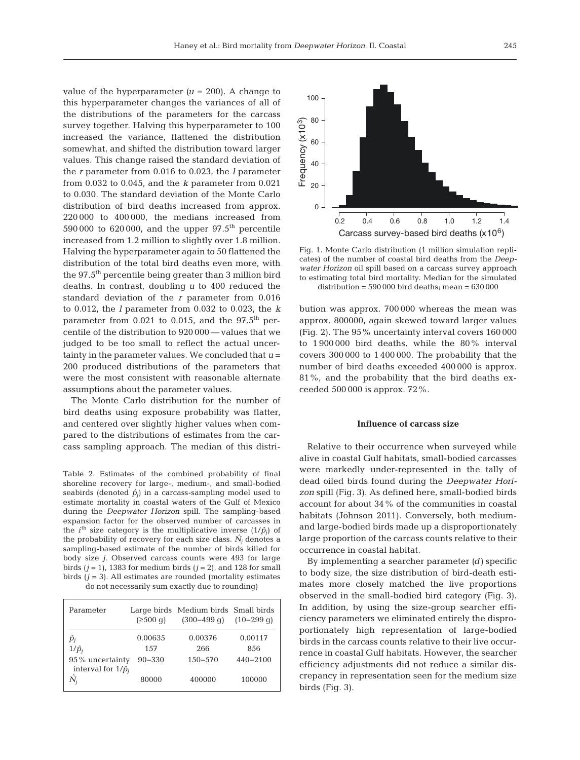value of the hyperparameter  $(u = 200)$ . A change to this hyperparameter changes the variances of all of the distributions of the parameters for the carcass survey together. Halving this hyperparameter to 100 increased the variance, flattened the distribution somewhat, and shifted the distribution toward larger values. This change raised the standard deviation of the *r* parameter from 0.016 to 0.023, the *l* parameter from 0.032 to 0.045, and the *k* parameter from 0.021 to 0.030. The standard deviation of the Monte Carlo distribution of bird deaths increased from approx. 220 000 to 400 000, the medians increased from 590 000 to 620 000, and the upper  $97.5^{\text{th}}$  percentile increased from 1.2 million to slightly over 1.8 million. Halving the hyperparameter again to 50 flattened the distribution of the total bird deaths even more, with the 97.5th percentile being greater than 3 million bird deaths. In contrast, doubling *u* to 400 reduced the standard deviation of the *r* parameter from 0.016 to 0.012, the *l* parameter from 0.032 to 0.023, the *k* parameter from  $0.021$  to  $0.015$ , and the  $97.5<sup>th</sup>$  percentile of the distribution to 920 000 — values that we judged to be too small to reflect the actual uncertainty in the parameter values. We concluded that  $u =$ 200 produced distributions of the parameters that were the most consistent with reasonable alternate assumptions about the parameter values.

The Monte Carlo distribution for the number of bird deaths using exposure probability was flatter, and centered over slightly higher values when compared to the distributions of estimates from the carcass sampling approach. The median of this distri-

Table 2. Estimates of the combined probability of final shoreline recovery for large-, medium-, and small-bodied seabirds (denoted  $\hat{p}_i$ ) in a carcass-sampling model used to estimate mortality in coastal waters of the Gulf of Mexico during the *Deepwater Horizon* spill. The sampling-based expansion factor for the observed number of carcasses in the *i*<sup>th</sup> size category is the multiplicative inverse  $(1/\hat{p}_i)$  of the probability of recovery for each size class.  $\hat{N}_i$  denotes a sampling-based estimate of the number of birds killed for body size *j*. Observed carcass counts were 493 for large birds  $(j = 1)$ , 1383 for medium birds  $(j = 2)$ , and 128 for small birds  $(j = 3)$ . All estimates are rounded (mortality estimates

do not necessarily sum exactly due to rounding)

| Parameter                                     | $(2500 \text{ g})$ | Large birds Medium birds Small birds<br>$(300-499 \text{ q})$ $(10-299 \text{ q})$ |              |
|-----------------------------------------------|--------------------|------------------------------------------------------------------------------------|--------------|
| $\hat{p}_i$                                   | 0.00635            | 0.00376                                                                            | 0.00117      |
| $1/\hat{p}_i$                                 | 1.57               | 266                                                                                | 856          |
| 95% uncertainty<br>interval for $1/\hat{p}_i$ | $90 - 330$         | $150 - 570$                                                                        | $440 - 2100$ |
| $\lambda$<br>N,                               | 80000              | 400000                                                                             | 100000       |



Fig. 1. Monte Carlo distribution (1 million simulation replicates) of the number of coastal bird deaths from the *Deepwater Horizon* oil spill based on a carcass survey approach to estimating total bird mortality. Median for the simulated distribution =  $590000$  bird deaths; mean =  $630000$ 

bution was approx. 700 000 whereas the mean was approx. 800000, again skewed toward larger values (Fig. 2). The 95% uncertainty interval covers 160 000 to 1 900 000 bird deaths, while the 80% interval covers 300 000 to 1 400 000. The probability that the number of bird deaths exceeded 400 000 is approx.  $81\%$ , and the probability that the bird deaths exceeded 500 000 is approx. 72%.

#### **Influence of carcass size**

Relative to their occurrence when surveyed while alive in coastal Gulf habitats, small-bodied carcasses were markedly under-represented in the tally of dead oiled birds found during the *Deepwater Horizon* spill (Fig. 3). As defined here, small-bodied birds account for about 34% of the communities in coastal habitats (Johnson 2011). Conversely, both mediumand large-bodied birds made up a disproportionately large proportion of the carcass counts relative to their occurrence in coastal habitat.

By implementing a searcher parameter *(d)* specific to body size, the size distribution of bird-death estimates more closely matched the live proportions observed in the small-bodied bird category (Fig. 3). In addition, by using the size-group searcher efficiency parameters we eliminated entirely the disproportionately high representation of large-bodied birds in the carcass counts relative to their live occurrence in coastal Gulf habitats. However, the searcher efficiency adjustments did not reduce a similar discrepancy in representation seen for the medium size birds (Fig. 3).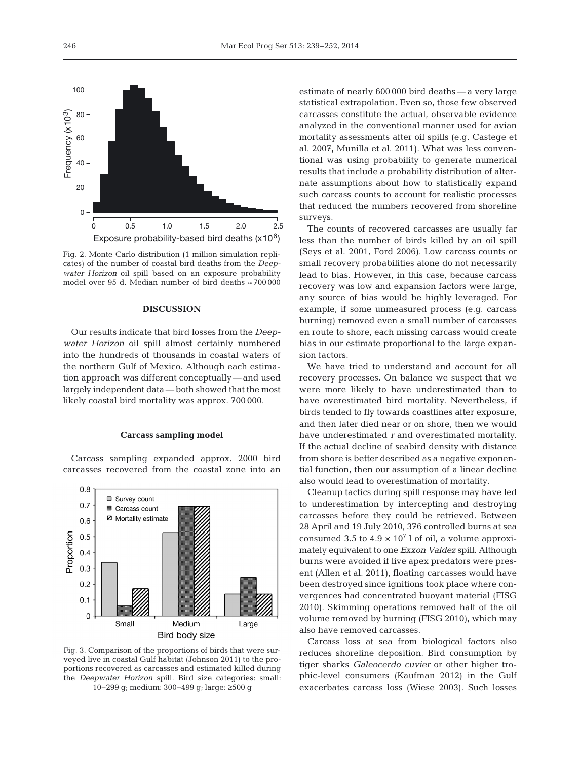

Fig. 2. Monte Carlo distribution (1 million simulation replicates) of the number of coastal bird deaths from the *Deepwater Horizon* oil spill based on an exposure probability model over 95 d. Median number of bird deaths ≈ 700 000

# **DISCUSSION**

Our results indicate that bird losses from the *Deepwater Horizon* oil spill almost certainly numbered into the hundreds of thousands in coastal waters of the northern Gulf of Mexico. Although each estimation approach was different conceptually— and used largely independent data — both showed that the most likely coastal bird mortality was approx. 700 000.

## **Carcass sampling model**

Carcass sampling expanded approx. 2000 bird carcasses recovered from the coastal zone into an



Fig. 3. Comparison of the proportions of birds that were surveyed live in coastal Gulf habitat (Johnson 2011) to the proportions recovered as carcasses and estimated killed during the *Deepwater Horizon* spill. Bird size categories: small: 10−299 g; medium: 300−499 g; large: ≥500 g

estimate of nearly 600 000 bird deaths — a very large statistical extrapolation. Even so, those few observed carcasses constitute the actual, observable evidence analyzed in the conventional manner used for avian mortality assessments after oil spills (e.g. Castege et al. 2007, Munilla et al. 2011). What was less conventional was using probability to generate numerical results that include a probability distribution of alternate assumptions about how to statistically expand such carcass counts to account for realistic processes that reduced the numbers recovered from shoreline surveys.

The counts of recovered carcasses are usually far less than the number of birds killed by an oil spill (Seys et al. 2001, Ford 2006). Low carcass counts or small recovery probabilities alone do not necessarily lead to bias. However, in this case, because carcass recovery was low and expansion factors were large, any source of bias would be highly leveraged. For example, if some unmeasured process (e.g. carcass burning) removed even a small number of carcasses en route to shore, each missing carcass would create bias in our estimate proportional to the large expansion factors.

We have tried to understand and account for all recovery processes. On balance we suspect that we were more likely to have underestimated than to have overestimated bird mortality. Nevertheless, if birds tended to fly towards coastlines after exposure, and then later died near or on shore, then we would have underestimated *r* and overestimated mortality. If the actual decline of seabird density with distance from shore is better described as a negative exponential function, then our assumption of a linear decline also would lead to overestimation of mortality.

Cleanup tactics during spill response may have led to underestimation by intercepting and destroying carcasses before they could be retrieved. Between 28 April and 19 July 2010, 376 controlled burns at sea consumed 3.5 to  $4.9 \times 10^7$  l of oil, a volume approximately equivalent to one *Exxon Valdez* spill. Although burns were avoided if live apex predators were present (Allen et al. 2011), floating carcasses would have been destroyed since ignitions took place where convergences had concentrated buoyant material (FISG 2010). Skimming operations removed half of the oil volume removed by burning (FISG 2010), which may also have removed carcasses.

Carcass loss at sea from biological factors also reduces shoreline deposition. Bird consumption by tiger sharks *Galeocerdo cuvier* or other higher trophic-level consumers (Kaufman 2012) in the Gulf exacerbates carcass loss (Wiese 2003). Such losses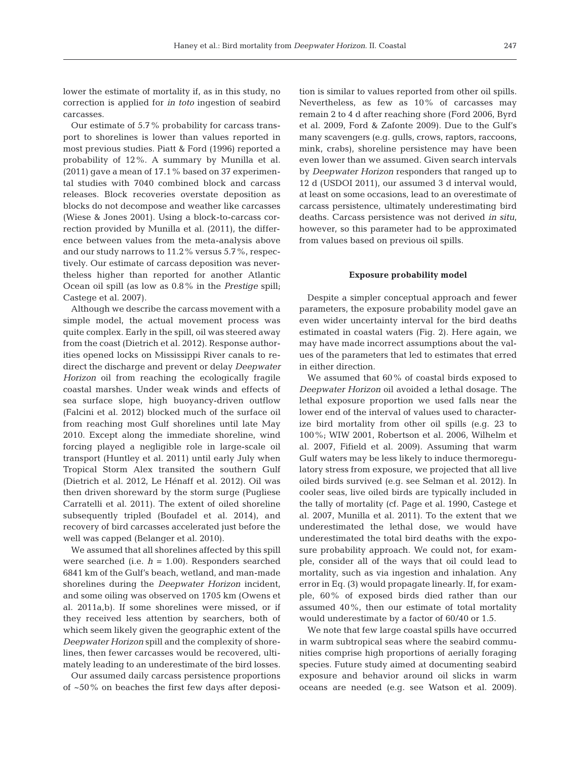lower the estimate of mortality if, as in this study, no correction is applied for *in toto* ingestion of seabird carcasses.

Our estimate of 5.7% probability for carcass transport to shorelines is lower than values reported in most previous studies. Piatt & Ford (1996) reported a probability of 12%. A summary by Munilla et al. (2011) gave a mean of 17.1% based on 37 experimental studies with 7040 combined block and carcass releases. Block recoveries overstate deposition as blocks do not decompose and weather like carcasses (Wiese & Jones 2001). Using a block-to-carcass correction provided by Munilla et al. (2011), the difference between values from the meta-analysis above and our study narrows to 11.2% versus 5.7%, respectively. Our estimate of carcass deposition was nevertheless higher than reported for another Atlantic Ocean oil spill (as low as 0.8% in the *Prestige* spill; Castege et al. 2007).

Although we describe the carcass movement with a simple model, the actual movement process was quite complex. Early in the spill, oil was steered away from the coast (Dietrich et al. 2012). Response authorities opened locks on Mississippi River canals to re direct the discharge and prevent or delay *Deepwater Horizon* oil from reaching the ecologically fragile coastal marshes. Under weak winds and effects of sea surface slope, high buoyancy-driven outflow (Falcini et al. 2012) blocked much of the surface oil from reaching most Gulf shorelines until late May 2010. Except along the immediate shoreline, wind forcing played a negligible role in large-scale oil transport (Huntley et al. 2011) until early July when Tropical Storm Alex transited the southern Gulf (Dietrich et al. 2012, Le Hénaff et al. 2012). Oil was then driven shoreward by the storm surge (Pugliese Carratelli et al. 2011). The extent of oiled shoreline subsequently tripled (Boufadel et al. 2014), and recovery of bird carcasses accelerated just before the well was capped (Belanger et al. 2010).

We assumed that all shorelines affected by this spill were searched (i.e. *h* = 1.00). Responders searched 6841 km of the Gulf's beach, wetland, and man-made shorelines during the *Deepwater Horizon* incident, and some oiling was observed on 1705 km (Owens et al. 2011a,b). If some shorelines were missed, or if they received less attention by searchers, both of which seem likely given the geographic extent of the *Deepwater Horizon* spill and the complexity of shorelines, then fewer carcasses would be recovered, ultimately leading to an underestimate of the bird losses.

Our assumed daily carcass persistence proportions of ~50% on beaches the first few days after deposition is similar to values reported from other oil spills. Nevertheless, as few as 10% of carcasses may remain 2 to 4 d after reaching shore (Ford 2006, Byrd et al. 2009, Ford & Zafonte 2009). Due to the Gulf's many scavengers (e.g. gulls, crows, raptors, raccoons, mink, crabs), shoreline persistence may have been even lower than we assumed. Given search intervals by *Deepwater Horizon* responders that ranged up to 12 d (USDOI 2011), our assumed 3 d interval would, at least on some occasions, lead to an overestimate of carcass persistence, ultimately under estimating bird deaths. Carcass persistence was not derived *in situ*, however, so this parameter had to be approximated from values based on previous oil spills.

#### **Exposure probability model**

Despite a simpler conceptual approach and fewer parameters, the exposure probability model gave an even wider uncertainty interval for the bird deaths estimated in coastal waters (Fig. 2). Here again, we may have made incorrect assumptions about the values of the parameters that led to estimates that erred in either direction.

We assumed that 60% of coastal birds exposed to *Deepwater Horizon* oil avoided a lethal dosage. The lethal exposure proportion we used falls near the lower end of the interval of values used to characterize bird mortality from other oil spills (e.g. 23 to 100%; WIW 2001, Robertson et al. 2006, Wilhelm et al. 2007, Fifield et al. 2009). Assuming that warm Gulf waters may be less likely to induce thermoregulatory stress from exposure, we projected that all live oiled birds survived (e.g. see Selman et al. 2012). In cooler seas, live oiled birds are typically included in the tally of mortality (cf. Page et al. 1990, Castege et al. 2007, Munilla et al. 2011). To the extent that we underestimated the lethal dose, we would have underestimated the total bird deaths with the exposure probability approach. We could not, for example, consider all of the ways that oil could lead to mortality, such as via ingestion and inhalation. Any error in Eq. (3) would propagate linearly. If, for example, 60% of exposed birds died rather than our assumed 40%, then our estimate of total mortality would underestimate by a factor of 60/40 or 1.5.

We note that few large coastal spills have occurred in warm subtropical seas where the seabird communities comprise high proportions of aerially foraging species. Future study aimed at documenting seabird exposure and behavior around oil slicks in warm oceans are needed (e.g. see Watson et al. 2009).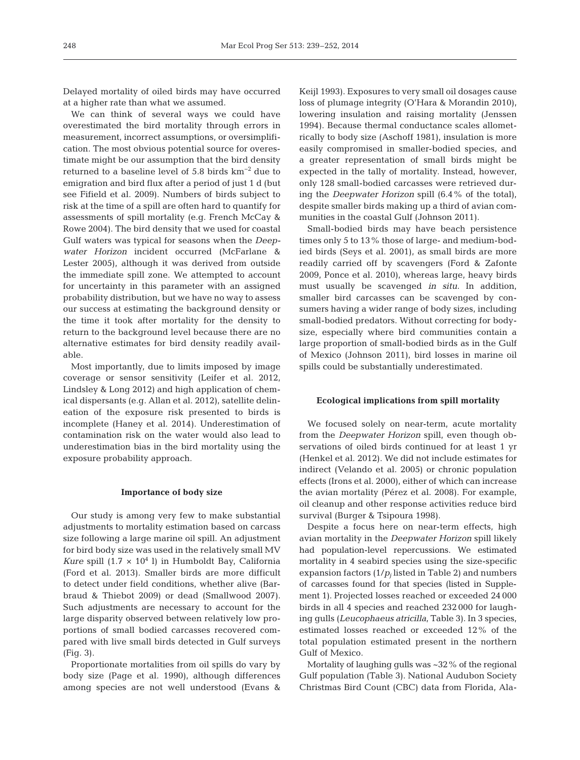Delayed mortality of oiled birds may have occurred at a higher rate than what we assumed.

We can think of several ways we could have over estimated the bird mortality through errors in measurement, incorrect assumptions, or oversimplification. The most obvious potential source for overestimate might be our assumption that the bird density returned to a baseline level of 5.8 birds  $km^{-2}$  due to emigration and bird flux after a period of just 1 d (but see Fifield et al. 2009). Numbers of birds subject to risk at the time of a spill are often hard to quantify for assessments of spill mortality (e.g. French McCay & Rowe 2004). The bird density that we used for coastal Gulf waters was typical for seasons when the *Deepwater Horizon* incident occurred (McFarlane & Lester 2005), although it was derived from outside the immediate spill zone. We attempted to account for uncertainty in this parameter with an assigned probability distribution, but we have no way to assess our success at estimating the background density or the time it took after mortality for the density to return to the background level because there are no alternative estimates for bird density readily available.

Most importantly, due to limits imposed by image coverage or sensor sensitivity (Leifer et al. 2012, Lindsley & Long 2012) and high application of chemical dispersants (e.g. Allan et al. 2012), satellite delineation of the exposure risk presented to birds is incomplete (Haney et al. 2014). Underestimation of contamination risk on the water would also lead to underestimation bias in the bird mortality using the exposure probability approach.

#### **Importance of body size**

Our study is among very few to make substantial adjustments to mortality estimation based on carcass size following a large marine oil spill. An adjustment for bird body size was used in the relatively small MV *Kure* spill  $(1.7 \times 10^4)$  in Humboldt Bay, California (Ford et al. 2013). Smaller birds are more difficult to detect under field conditions, whether alive (Barbraud & Thiebot 2009) or dead (Smallwood 2007). Such adjustments are necessary to account for the large disparity observed between relatively low proportions of small bodied carcasses recovered compared with live small birds detected in Gulf surveys (Fig. 3).

Proportionate mortalities from oil spills do vary by body size (Page et al. 1990), although differences among species are not well understood (Evans &

Keijl 1993). Exposures to very small oil dosages cause loss of plumage integrity (O'Hara & Morandin 2010), lowering insulation and raising mortality (Jenssen 1994). Because thermal conductance scales allometrically to body size (Aschoff 1981), insulation is more easily compromised in smaller-bodied species, and a greater representation of small birds might be expected in the tally of mortality. Instead, however, only 128 small-bodied carcasses were retrieved during the *Deepwater Horizon* spill (6.4% of the total), despite smaller birds making up a third of avian communities in the coastal Gulf (Johnson 2011).

Small-bodied birds may have beach persistence times only 5 to 13% those of large- and medium-bodied birds (Seys et al. 2001), as small birds are more readily carried off by scavengers (Ford & Zafonte 2009, Ponce et al. 2010), whereas large, heavy birds must usually be scavenged *in situ*. In addition, smaller bird carcasses can be scavenged by consumers having a wider range of body sizes, including small-bodied predators. Without correcting for bodysize, especially where bird communities contain a large proportion of small-bodied birds as in the Gulf of Mexico (Johnson 2011), bird losses in marine oil spills could be substantially underestimated.

## **Ecological implications from spill mortality**

We focused solely on near-term, acute mortality from the *Deepwater Horizon* spill, even though observations of oiled birds continued for at least 1 yr (Henkel et al. 2012). We did not include estimates for indirect (Velando et al. 2005) or chronic population effects (Irons et al. 2000), either of which can increase the avian mortality (Pérez et al. 2008). For example, oil cleanup and other response activities reduce bird survival (Burger & Tsipoura 1998).

Despite a focus here on near-term effects, high avian mortality in the *Deepwater Horizon* spill likely had population-level repercussions. We estimated mortality in 4 seabird species using the size-specific expansion factors  $(1/p<sub>i</sub>$  listed in Table 2) and numbers of carcasses found for that species (listed in Supplement 1). Projected losses reached or exceeded 24 000 birds in all 4 species and reached 232 000 for laughing gulls (*Leu cophaeus atricilla*, Table 3). In 3 species, estimated losses reached or exceeded 12% of the total population estimated present in the northern Gulf of Mexico.

Mortality of laughing gulls was ~32% of the regional Gulf population (Table 3). National Audubon Society Christmas Bird Count (CBC) data from Florida, Ala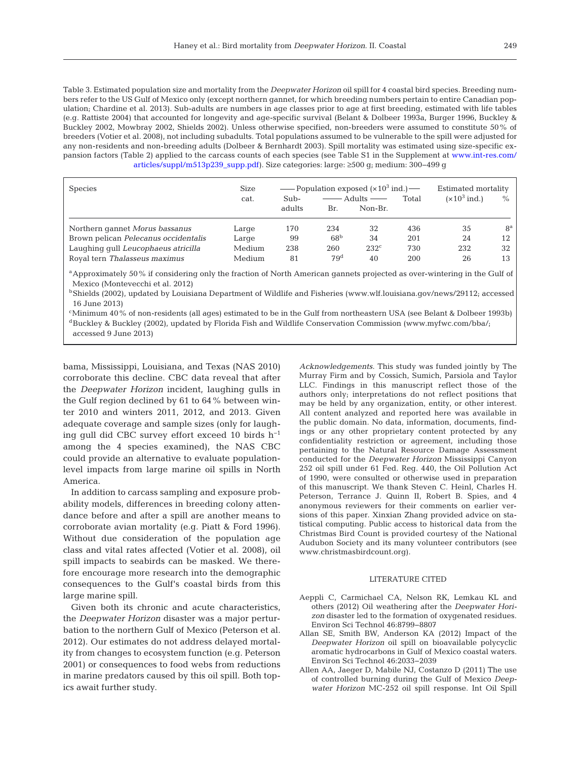Table 3. Estimated population size and mortality from the *Deepwater Horizon* oil spill for 4 coastal bird species. Breeding numbers refer to the US Gulf of Mexico only (except northern gannet, for which breeding numbers pertain to entire Canadian population; Chardine et al. 2013). Sub-adults are numbers in age classes prior to age at first breeding, estimated with life tables (e.g. Rattiste 2004) that accounted for longevity and age-specific survival (Belant & Dolbeer 1993a, Burger 1996, Buckley & Buckley 2002, Mowbray 2002, Shields 2002). Unless otherwise specified, non-breeders were assumed to constitute 50% of breeders (Votier et al. 2008), not including subadults. Total populations assumed to be vulnerable to the spill were adjusted for any non-residents and non-breeding adults (Dolbeer & Bernhardt 2003). Spill mortality was estimated using size-specific expansion factors (Table 2) applied to the carcass counts of each species (see Table S1 in the Supplement [at www.int-res.com/](http://www.int-res.com/articles/suppl/m513p239_supp.pdf) [articles/suppl/m513p239\\_supp.pdf\). S](http://www.int-res.com/articles/suppl/m513p239_supp.pdf)ize categories: large: ≥500 g; medium: 300−499 g

| <b>Species</b>                       | Size<br>cat. | — Population exposed $(x10^3 \text{ ind.})$<br>Adults $\frac{1}{\sqrt{2}}$<br>Total<br>Sub- |                 |                  | Estimated mortality<br>$(x10^3 \text{ ind.})$<br>$\%$ |     |             |
|--------------------------------------|--------------|---------------------------------------------------------------------------------------------|-----------------|------------------|-------------------------------------------------------|-----|-------------|
|                                      |              | adults                                                                                      | Br.             | Non-Br.          |                                                       |     |             |
| Northern gannet Morus bassanus       | Large        | 170                                                                                         | 234             | 32               | 436                                                   | 35  | $8^{\rm a}$ |
| Brown pelican Pelecanus occidentalis | Large        | 99                                                                                          | 68 <sup>b</sup> | 34               | 201                                                   | 24  | 12          |
| Laughing qull Leucophaeus atricilla  | Medium       | 238                                                                                         | 260             | 232 <sup>c</sup> | 730                                                   | 232 | 32          |
| Royal tern Thalasseus maximus        | Medium       | 81                                                                                          | 79 <sup>d</sup> | 40               | 200                                                   | 26  | 13          |

<sup>a</sup> Approximately 50% if considering only the fraction of North American gannets projected as over-wintering in the Gulf of Mexico (Montevecchi et al. 2012)

<sup>b</sup>Shields (2002), updated by Louisiana Department of Wildlife and Fisheries (www.wlf.louisiana.gov/news/29112; accessed 16 June 2013)

cMinimum 40% of non-residents (all ages) estimated to be in the Gulf from northeastern USA (see Belant & Dolbeer 1993b) <sup>d</sup>Buckley & Buckley (2002), updated by Florida Fish and Wildlife Conservation Commission (www.myfwc.com/bba/; accessed 9 June 2013)

bama, Mississippi, Louisiana, and Texas (NAS 2010) corroborate this decline. CBC data reveal that after the *Deepwater Horizon* incident, laughing gulls in the Gulf region declined by 61 to 64% between winter 2010 and winters 2011, 2012, and 2013. Given adequate coverage and sample sizes (only for laughing gull did CBC survey effort exceed 10 birds h−1 among the 4 species examined), the NAS CBC could provide an alternative to evaluate populationlevel impacts from large marine oil spills in North America.

In addition to carcass sampling and exposure probability models, differences in breeding colony attendance before and after a spill are another means to corroborate avian mortality (e.g. Piatt & Ford 1996). Without due consideration of the population age class and vital rates affected (Votier et al. 2008), oil spill impacts to seabirds can be masked. We therefore encourage more research into the demographic consequences to the Gulf's coastal birds from this large marine spill.

Given both its chronic and acute characteristics, the *Deepwater Horizon* disaster was a major perturbation to the northern Gulf of Mexico (Peterson et al. 2012). Our estimates do not address delayed mortality from changes to ecosystem function (e.g. Peterson 2001) or consequences to food webs from reductions in marine predators caused by this oil spill. Both topics await further study.

*Acknowledgements*. This study was funded jointly by The Murray Firm and by Cossich, Sumich, Parsiola and Taylor LLC. Findings in this manuscript reflect those of the authors only; interpretations do not reflect positions that may be held by any organization, entity, or other interest. All content analyzed and reported here was available in the public domain. No data, information, documents, findings or any other proprietary content protected by any confidentiality restriction or agreement, including those pertaining to the Natural Resource Damage Assessment conducted for the *Deepwater Horizon* Mississippi Canyon 252 oil spill under 61 Fed. Reg. 440, the Oil Pollution Act of 1990, were consulted or otherwise used in preparation of this manuscript. We thank Steven C. Heinl, Charles H. Pe terson, Terrance J. Quinn II, Robert B. Spies, and 4 anonymous reviewers for their comments on earlier versions of this paper. Xinxian Zhang provided advice on statistical computing. Public access to historical data from the Christmas Bird Count is provided courtesy of the National Audubon Society and its many volunteer contributors (see www.christmasbirdcount. org).

#### LITERATURE CITED

- Aeppli C, Carmichael CA, Nelson RK, Lemkau KL and others (2012) Oil weathering after the *Deepwater Horizon* disaster led to the formation of oxygenated residues. Environ Sci Technol 46: 8799−8807
- Allan SE, Smith BW, Anderson KA (2012) Impact of the *Deepwater Horizon* oil spill on bioavailable polycyclic aromatic hydrocarbons in Gulf of Mexico coastal waters. Environ Sci Technol 46: 2033−2039
- Allen AA, Jaeger D, Mabile NJ, Costanzo D (2011) The use of controlled burning during the Gulf of Mexico *Deepwater Horizon* MC-252 oil spill response. Int Oil Spill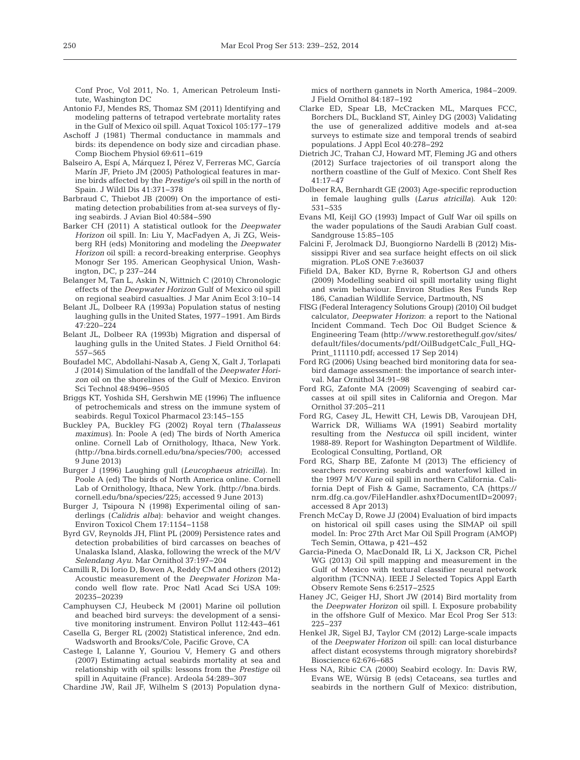Conf Proc, Vol 2011, No. 1, American Petroleum Institute, Washington DC

- Antonio FJ, Mendes RS, Thomaz SM (2011) Identifying and modeling patterns of tetrapod vertebrate mortality rates in the Gulf of Mexico oil spill. Aquat Toxicol 105: 177−179
- Aschoff J (1981) Thermal conductance in mammals and birds: its dependence on body size and circadian phase. Comp Biochem Physiol 69:611-619
- Balseiro A, Espí A, Márquez I, Pérez V, Ferreras MC, García Marín JF, Prieto JM (2005) Pathological features in marine birds affected by the *Prestige*'s oil spill in the north of Spain. J Wildl Dis 41: 371−378
- Barbraud C, Thiebot JB (2009) On the importance of estimating detection probabilities from at-sea surveys of flying seabirds. J Avian Biol 40:584-590
- Barker CH (2011) A statistical outlook for the *Deepwater Horizon* oil spill. In:Liu Y, MacFadyen A, Ji ZG, Weisberg RH (eds) Monitoring and modeling the *Deepwater Horizon* oil spill: a record-breaking enterprise. Geophys Monogr Ser 195. American Geophysical Union, Washington, DC, p 237−244
- Belanger M, Tan L, Askin N, Wittnich C (2010) Chronologic effects of the *Deepwater Horizon* Gulf of Mexico oil spill on regional seabird casualties. J Mar Anim Ecol 3: 10−14
- Belant JL, Dolbeer RA (1993a) Population status of nesting laughing gulls in the United States, 1977–1991. Am Birds 47: 220−224
- Belant JL, Dolbeer RA (1993b) Migration and dispersal of laughing gulls in the United States. J Field Ornithol 64: 557−565
- Boufadel MC, Abdollahi-Nasab A, Geng X, Galt J, Torlapati J (2014) Simulation of the landfall of the *Deepwater Horizon* oil on the shorelines of the Gulf of Mexico. Environ Sci Technol 48:9496−9505
- Briggs KT, Yoshida SH, Gershwin ME (1996) The influence of petrochemicals and stress on the immune system of seabirds. Regul Toxicol Pharmacol 23: 145−155
- Buckley PA, Buckley FG (2002) Royal tern (*Thalasseus maximus*). In: Poole A (ed) The birds of North America online. Cornell Lab of Ornithology, Ithaca, New York. (http://bna.birds.cornell.edu/bna/species/700; accessed 9 June 2013)
- Burger J (1996) Laughing gull (*Leucophaeus atricilla*). In: Poole A (ed) The birds of North America online. Cornell Lab of Ornithology, Ithaca, New York. (http://bna.birds. cornell.edu/bna/species/225; accessed 9 June 2013)
- Burger J, Tsipoura N (1998) Experimental oiling of sanderlings (*Calidris alba*): behavior and weight changes. Environ Toxicol Chem 17: 1154−1158
- Byrd GV, Reynolds JH, Flint PL (2009) Persistence rates and detection probabilities of bird carcasses on beaches of Unalaska Island, Alaska, following the wreck of the M/V *Selendang Ayu.* Mar Ornithol 37: 197−204
- Camilli R, Di Iorio D, Bowen A, Reddy CM and others (2012) Acoustic measurement of the *Deepwater Horizon* Macondo well flow rate. Proc Natl Acad Sci USA 109: 20235−20239
- Camphuysen CJ, Heubeck M (2001) Marine oil pollution and beached bird surveys: the development of a sensitive monitoring instrument. Environ Pollut 112:443-461
- Casella G, Berger RL (2002) Statistical inference, 2nd edn. Wadsworth and Brooks/Cole, Pacific Grove, CA
- Castege I, Lalanne Y, Gouriou V, Hemery G and others (2007) Estimating actual seabirds mortality at sea and relationship with oil spills: lessons from the *Prestige* oil spill in Aquitaine (France). Ardeola 54: 289−307

Chardine JW, Rail JF, Wilhelm S (2013) Population dyna -

mics of northern gannets in North America, 1984–2009. J Field Ornithol 84: 187−192

- Clarke ED, Spear LB, McCracken ML, Marques FCC, Borchers DL, Buckland ST, Ainley DG (2003) Validating the use of generalized additive models and at-sea surveys to estimate size and temporal trends of seabird populations. J Appl Ecol 40: 278−292
- Dietrich JC, Trahan CJ, Howard MT, Fleming JG and others (2012) Surface trajectories of oil transport along the northern coastline of the Gulf of Mexico. Cont Shelf Res 41: 17−47
- Dolbeer RA, Bernhardt GE (2003) Age-specific reproduction in female laughing gulls (*Larus atricilla)*. Auk 120: 531−535
- Evans MI, Keijl GO (1993) Impact of Gulf War oil spills on the wader populations of the Saudi Arabian Gulf coast. Sandgrouse 15:85-105
- Falcini F, Jerolmack DJ, Buongiorno Nardelli B (2012) Mississippi River and sea surface height effects on oil slick migration. PLoS ONE 7:e36037
- Fifield DA, Baker KD, Byrne R, Robertson GJ and others (2009) Modelling seabird oil spill mortality using flight and swim behaviour. Environ Studies Res Funds Rep 186, Canadian Wildlife Service, Dartmouth, NS
- FISG (Federal Interagency Solutions Group) (2010) Oil budget calculator, *Deepwater Horizon*:a report to the National Incident Command. Tech Doc Oil Budget Science & Engineering Team (http://www.restorethegulf.gov/sites/ default/files/documents/pdf/OilBudgetCalc\_Full\_HQ-Print\_111110.pdf; accessed 17 Sep 2014)
- Ford RG (2006) Using beached bird monitoring data for seabird damage assessment: the importance of search interval. Mar Ornithol 34:91-98
- Ford RG, Zafonte MA (2009) Scavenging of seabird carcasses at oil spill sites in California and Oregon. Mar Ornithol 37: 205−211
- Ford RG, Casey JL, Hewitt CH, Lewis DB, Varoujean DH, Warrick DR, Williams WA (1991) Seabird mortality resulting from the *Nestucca* oil spill incident, winter 1988-89. Report for Washington Department of Wildlife. Ecological Consulting, Portland, OR
- Ford RG, Sharp BE, Zafonte M (2013) The efficiency of searchers recovering seabirds and waterfowl killed in the 1997 M/V *Kure* oil spill in northern California. California Dept of Fish & Game, Sacramento, CA (https:// nrm. dfg.ca.gov/FileHandler.ashx? DocumentID= 20097; accessed 8 Apr 2013)
- French McCay D, Rowe JJ (2004) Evaluation of bird impacts on historical oil spill cases using the SIMAP oil spill model. In:Proc 27th Arct Mar Oil Spill Program (AMOP) Tech Semin, Ottawa, p 421−452
- Garcia-Pineda O, MacDonald IR, Li X, Jackson CR, Pichel WG (2013) Oil spill mapping and measurement in the Gulf of Mexico with textural classifier neural network algorithm (TCNNA). IEEE J Selected Topics Appl Earth Observ Remote Sens 6: 2517−2525
- Haney JC, Geiger HJ, Short JW (2014) Bird mortality from the *Deepwater Horizon* oil spill. I. Exposure probability in the offshore Gulf of Mexico. Mar Ecol Prog Ser 513: 225–237
- Henkel JR, Sigel BJ, Taylor CM (2012) Large-scale impacts of the *Deepwater Horizon* oil spill: can local disturbance affect distant ecosystems through migratory shorebirds? Bioscience 62:676-685
- Hess NA, Ribic CA (2000) Seabird ecology. In: Davis RW, Evans WE, Würsig B (eds) Cetaceans, sea turtles and seabirds in the northern Gulf of Mexico: distribution,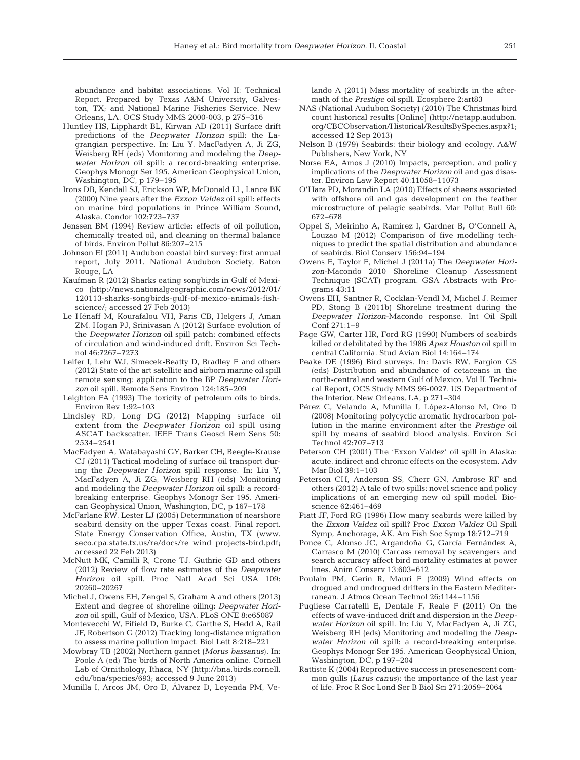abundance and habitat associations. Vol II: Technical Report. Prepared by Texas A&M University, Galveston, TX; and National Marine Fisheries Service, New Orleans, LA. OCS Study MMS 2000-003, p 275−316

- Huntley HS, Lipphardt BL, Kirwan AD (2011) Surface drift predictions of the *Deepwater Horizon* spill: the Lagrangian perspective. In:Liu Y, MacFadyen A, Ji ZG, Weisberg RH (eds) Monitoring and modeling the *Deepwater Horizon* oil spill: a record-breaking enterprise. Geophys Monogr Ser 195. American Geophysical Union, Washington, DC, p 179−195
- Irons DB, Kendall SJ, Erickson WP, McDonald LL, Lance BK (2000) Nine years after the *Exxon Valdez* oil spill: effects on marine bird populations in Prince William Sound, Alaska. Condor 102:723-737
- Jenssen BM (1994) Review article: effects of oil pollution, chemically treated oil, and cleaning on thermal balance of birds. Environ Pollut 86: 207−215
- Johnson EI (2011) Audubon coastal bird survey: first annual report, July 2011. National Audubon Society, Baton Rouge, LA
- Kaufman R (2012) Sharks eating songbirds in Gulf of Mexico (http://news.nationalgeographic.com/news/2012/01/ 120113-sharks-songbirds-gulf-of-mexico-animals-fishscience/; accessed 27 Feb 2013)
- Le Hénaff M, Kourafalou VH, Paris CB, Helgers J, Aman ZM, Hogan PJ, Srinivasan A (2012) Surface evolution of the *Deepwater Horizon* oil spill patch: combined effects of circulation and wind-induced drift. Environ Sci Technol 46: 7267−7273
- Leifer I, Lehr WJ, Simecek-Beatty D, Bradley E and others (2012) State of the art satellite and airborn marine oil spill remote sensing: application to the BP *Deepwater Horizon* oil spill. Remote Sens Environ 124: 185−209
- Leighton FA (1993) The toxicity of petroleum oils to birds. Environ Rev 1:92-103
- Lindsley RD, Long DG (2012) Mapping surface oil extent from the *Deepwater Horizon* oil spill using ASCAT backscatter. IEEE Trans Geosci Rem Sens 50: 2534−2541
- MacFadyen A, Watabayashi GY, Barker CH, Beegle-Krause CJ (2011) Tactical modeling of surface oil transport during the *Deepwater Horizon* spill response. In:Liu Y, MacFadyen A, Ji ZG, Weisberg RH (eds) Monitoring and modeling the *Deepwater Horizon* oil spill: a recordbreaking enterprise. Geophys Monogr Ser 195. American Geophysical Union, Washington, DC, p 167−178
- McFarlane RW, Lester LJ (2005) Determination of nearshore seabird density on the upper Texas coast. Final report. State Energy Conservation Office, Austin, TX (www. seco. cpa. state.tx.us/re/docs/re\_wind\_projects-bird.pdf; accessed 22 Feb 2013)
- McNutt MK, Camilli R, Crone TJ, Guthrie GD and others (2012) Review of flow rate estimates of the *Deepwater Ho rizon* oil spill. Proc Natl Acad Sci USA 109: 20260−20267
- Michel J, Owens EH, Zengel S, Graham A and others (2013) Extent and degree of shoreline oiling: *Deepwater Hori*zon oil spill, Gulf of Mexico, USA. PLoS ONE 8:e65087
- Montevecchi W, Fifield D, Burke C, Garthe S, Hedd A, Rail JF, Robertson G (2012) Tracking long-distance migration to assess marine pollution impact. Biol Lett 8: 218−221
- Mowbray TB (2002) Northern gannet (*Morus bassanus*). In: Poole A (ed) The birds of North America online. Cornell Lab of Ornithology, Ithaca, NY (http://bna.birds.cornell. edu/bna/species/693; accessed 9 June 2013)

Munilla I, Arcos JM, Oro D, Álvarez D, Leyenda PM, Ve -

lando A (2011) Mass mortality of seabirds in the aftermath of the *Prestige* oil spill. Ecosphere 2:art83

- NAS (National Audubon Society) (2010) The Christmas bird count historical results [Online] (http://netapp.audubon. org/CBCObservation/Historical/ResultsBySpecies.aspx?1; accessed 12 Sep 2013)
- Nelson B (1979) Seabirds: their biology and ecology. A&W Publishers, New York, NY
- Norse EA, Amos J (2010) Impacts, perception, and policy implications of the *Deepwater Horizon* oil and gas disaster. Environ Law Report 40: 11058−11073
- O'Hara PD, Morandin LA (2010) Effects of sheens associated with offshore oil and gas development on the feather microstructure of pelagic seabirds. Mar Pollut Bull 60: 672−678
- Oppel S, Meirinho A, Ramirez I, Gardner B, O'Connell A, Louzao M (2012) Comparison of five modelling techniques to predict the spatial distribution and abundance of seabirds. Biol Conserv 156: 94−194
- Owens E, Taylor E, Michel J (2011a) The *Deepwater Horizon*-Macondo 2010 Shoreline Cleanup Assessment Technique (SCAT) program. GSA Abstracts with Programs 43: 11
- Owens EH, Santner R, Cocklan-Vendl M, Michel J, Reimer PD, Stong B (2011b) Shoreline treatment during the *Deepwater Horizon*-Macondo response. Int Oil Spill Conf 271: 1−9
- Page GW, Carter HR, Ford RG (1990) Numbers of seabirds killed or debilitated by the 1986 *Apex Houston* oil spill in central California. Stud Avian Biol 14: 164−174
- Peake DE (1996) Bird surveys. In: Davis RW, Fargion GS (eds) Distribution and abundance of cetaceans in the north-central and western Gulf of Mexico, Vol II. Technical Report, OCS Study MMS 96-0027. US Department of the Interior, New Orleans, LA, p 271−304
- Pérez C, Velando A, Munilla I, López-Alonso M, Oro D (2008) Monitoring polycyclic aromatic hydrocarbon pollution in the marine environment after the *Prestige* oil spill by means of seabird blood analysis. Environ Sci Technol 42:707-713
- Peterson CH (2001) The 'Exxon Valdez' oil spill in Alaska: acute, indirect and chronic effects on the ecosystem. Adv Mar Biol 39:1-103
- Peterson CH, Anderson SS, Cherr GN, Ambrose RF and others (2012) A tale of two spills: novel science and policy implications of an emerging new oil spill model. Bioscience 62:461-469
- Piatt JF, Ford RG (1996) How many seabirds were killed by the *Exxon Valdez* oil spill? Proc *Exxon Valdez* Oil Spill Symp, Anchorage, AK. Am Fish Soc Symp 18:712−719
- Ponce C, Alonso JC, Argandoña G, García Fernández A, Carrasco M (2010) Carcass removal by scavengers and search accuracy affect bird mortality estimates at power lines. Anim Conserv 13:603-612
- Poulain PM, Gerin R, Mauri E (2009) Wind effects on drogued and undrogued drifters in the Eastern Mediterranean. J Atmos Ocean Technol 26: 1144−1156
- Pugliese Carratelli E, Dentale F, Reale F (2011) On the effects of wave-induced drift and dispersion in the *Deepwater Horizon* oil spill. In:Liu Y, MacFadyen A, Ji ZG, Weisberg RH (eds) Monitoring and modeling the *Deep*water Horizon oil spill: a record-breaking enterprise. Geophys Monogr Ser 195. American Geophysical Union, Washington, DC, p 197−204
- Rattiste K (2004) Reproductive success in presenescent common gulls (*Larus canus*): the importance of the last year of life. Proc R Soc Lond Ser B Biol Sci 271: 2059−2064